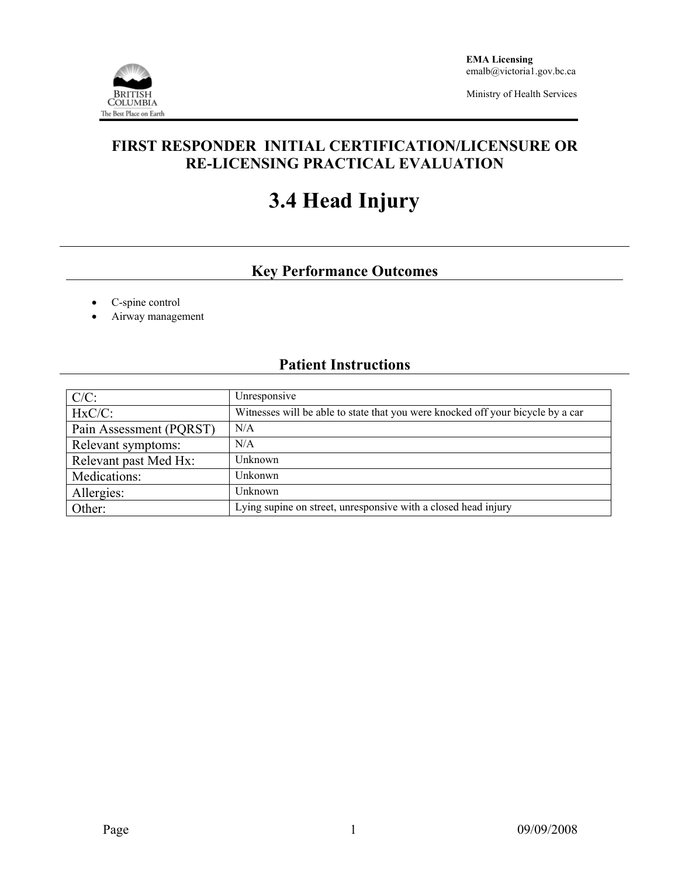

Ministry of Health Services

## **FIRST RESPONDER INITIAL CERTIFICATION/LICENSURE OR RE-LICENSING PRACTICAL EVALUATION**

# **3.4 Head Injury**

# **Key Performance Outcomes**

- C-spine control
- Airway management

### **Patient Instructions**

| $C/C$ :                 | Unresponsive                                                                    |
|-------------------------|---------------------------------------------------------------------------------|
| $HxC/C$ :               | Witnesses will be able to state that you were knocked off your bicycle by a car |
| Pain Assessment (PQRST) | N/A                                                                             |
| Relevant symptoms:      | N/A                                                                             |
| Relevant past Med Hx:   | Unknown                                                                         |
| Medications:            | Unkonwn                                                                         |
| Allergies:              | Unknown                                                                         |
| Other:                  | Lying supine on street, unresponsive with a closed head injury                  |